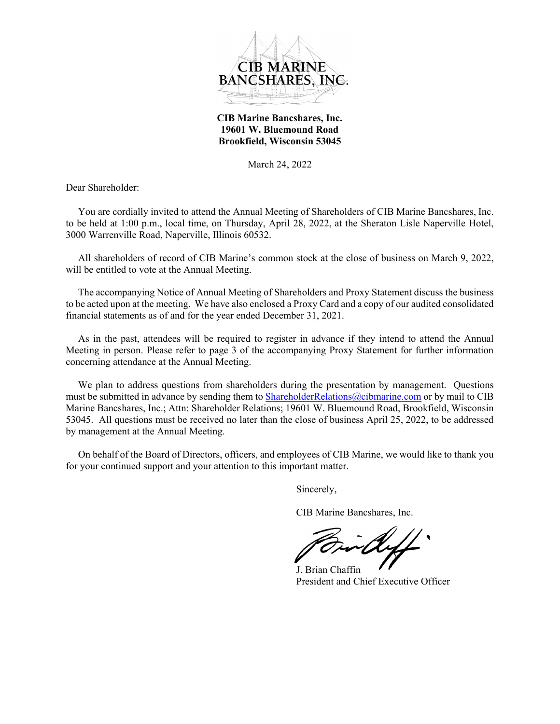

**CIB Marine Bancshares, Inc. 19601 W. Bluemound Road Brookfield, Wisconsin 53045**

March 24, 2022

Dear Shareholder:

You are cordially invited to attend the Annual Meeting of Shareholders of CIB Marine Bancshares, Inc. to be held at 1:00 p.m., local time, on Thursday, April 28, 2022, at the Sheraton Lisle Naperville Hotel, 3000 Warrenville Road, Naperville, Illinois 60532.

All shareholders of record of CIB Marine's common stock at the close of business on March 9, 2022, will be entitled to vote at the Annual Meeting.

The accompanying Notice of Annual Meeting of Shareholders and Proxy Statement discuss the business to be acted upon at the meeting. We have also enclosed a Proxy Card and a copy of our audited consolidated financial statements as of and for the year ended December 31, 2021.

As in the past, attendees will be required to register in advance if they intend to attend the Annual Meeting in person. Please refer to page 3 of the accompanying Proxy Statement for further information concerning attendance at the Annual Meeting.

We plan to address questions from shareholders during the presentation by management. Questions must be submitted in advance by sending them to ShareholderRelations@cibmarine.com or by mail to CIB Marine Bancshares, Inc.; Attn: Shareholder Relations; 19601 W. Bluemound Road, Brookfield, Wisconsin 53045. All questions must be received no later than the close of business April 25, 2022, to be addressed by management at the Annual Meeting.

On behalf of the Board of Directors, officers, and employees of CIB Marine, we would like to thank you for your continued support and your attention to this important matter.

Sincerely,

CIB Marine Bancshares, Inc.

 J. Brian Chaffin President and Chief Executive Officer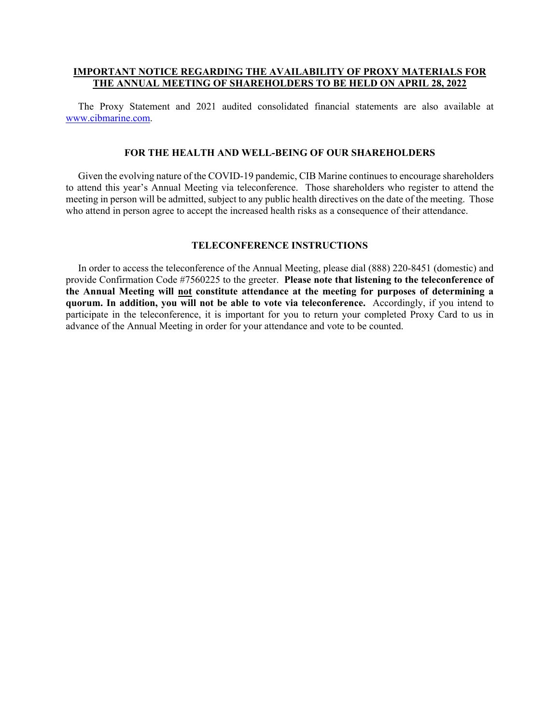## **IMPORTANT NOTICE REGARDING THE AVAILABILITY OF PROXY MATERIALS FOR THE ANNUAL MEETING OF SHAREHOLDERS TO BE HELD ON APRIL 28, 2022**

The Proxy Statement and 2021 audited consolidated financial statements are also available at www.cibmarine.com.

### **FOR THE HEALTH AND WELL-BEING OF OUR SHAREHOLDERS**

Given the evolving nature of the COVID-19 pandemic, CIB Marine continues to encourage shareholders to attend this year's Annual Meeting via teleconference. Those shareholders who register to attend the meeting in person will be admitted, subject to any public health directives on the date of the meeting. Those who attend in person agree to accept the increased health risks as a consequence of their attendance.

### **TELECONFERENCE INSTRUCTIONS**

In order to access the teleconference of the Annual Meeting, please dial (888) 220-8451 (domestic) and provide Confirmation Code #7560225 to the greeter. **Please note that listening to the teleconference of the Annual Meeting will not constitute attendance at the meeting for purposes of determining a quorum. In addition, you will not be able to vote via teleconference.** Accordingly, if you intend to participate in the teleconference, it is important for you to return your completed Proxy Card to us in advance of the Annual Meeting in order for your attendance and vote to be counted.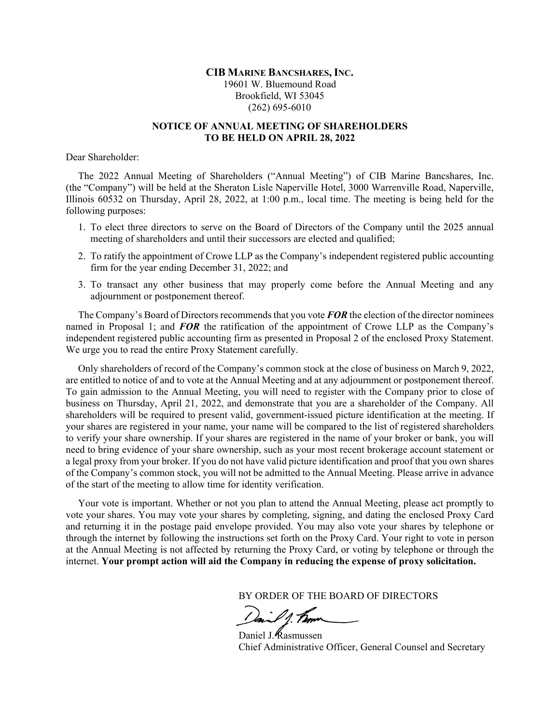# **CIB MARINE BANCSHARES, INC.** 19601 W. Bluemound Road Brookfield, WI 53045 (262) 695-6010

# **NOTICE OF ANNUAL MEETING OF SHAREHOLDERS TO BE HELD ON APRIL 28, 2022**

Dear Shareholder:

The 2022 Annual Meeting of Shareholders ("Annual Meeting") of CIB Marine Bancshares, Inc. (the "Company") will be held at the Sheraton Lisle Naperville Hotel, 3000 Warrenville Road, Naperville, Illinois 60532 on Thursday, April 28, 2022, at 1:00 p.m., local time. The meeting is being held for the following purposes:

- 1. To elect three directors to serve on the Board of Directors of the Company until the 2025 annual meeting of shareholders and until their successors are elected and qualified:
- 2. To ratify the appointment of Crowe LLP as the Company's independent registered public accounting firm for the year ending December 31, 2022; and
- 3. To transact any other business that may properly come before the Annual Meeting and any adjournment or postponement thereof.

The Company's Board of Directors recommends that you vote *FOR* the election of the director nominees named in Proposal 1; and *FOR* the ratification of the appointment of Crowe LLP as the Company's independent registered public accounting firm as presented in Proposal 2 of the enclosed Proxy Statement. We urge you to read the entire Proxy Statement carefully.

Only shareholders of record of the Company's common stock at the close of business on March 9, 2022, are entitled to notice of and to vote at the Annual Meeting and at any adjournment or postponement thereof. To gain admission to the Annual Meeting, you will need to register with the Company prior to close of business on Thursday, April 21, 2022, and demonstrate that you are a shareholder of the Company. All shareholders will be required to present valid, government-issued picture identification at the meeting. If your shares are registered in your name, your name will be compared to the list of registered shareholders to verify your share ownership. If your shares are registered in the name of your broker or bank, you will need to bring evidence of your share ownership, such as your most recent brokerage account statement or a legal proxy from your broker. If you do not have valid picture identification and proof that you own shares of the Company's common stock, you will not be admitted to the Annual Meeting. Please arrive in advance of the start of the meeting to allow time for identity verification.

Your vote is important. Whether or not you plan to attend the Annual Meeting, please act promptly to vote your shares. You may vote your shares by completing, signing, and dating the enclosed Proxy Card and returning it in the postage paid envelope provided. You may also vote your shares by telephone or through the internet by following the instructions set forth on the Proxy Card. Your right to vote in person at the Annual Meeting is not affected by returning the Proxy Card, or voting by telephone or through the internet. **Your prompt action will aid the Company in reducing the expense of proxy solicitation.**

BY ORDER OF THE BOARD OF DIRECTORS

Daniel J. Kasmussen Chief Administrative Officer, General Counsel and Secretary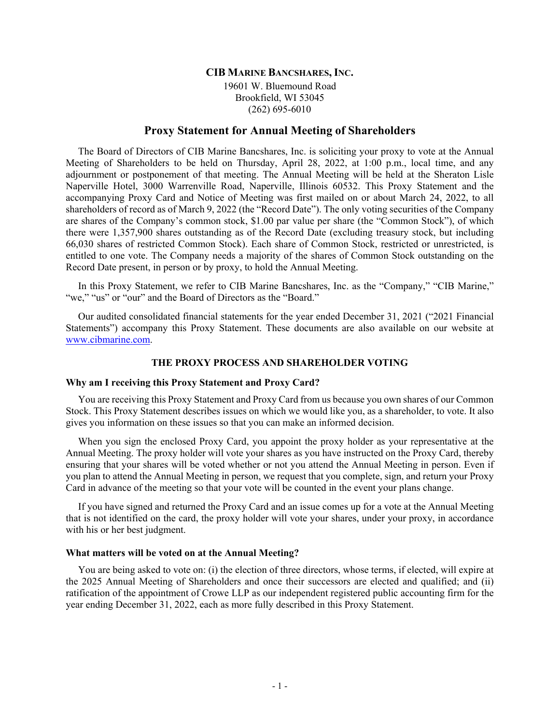## **CIB MARINE BANCSHARES, INC.**

19601 W. Bluemound Road Brookfield, WI 53045 (262) 695-6010

# **Proxy Statement for Annual Meeting of Shareholders**

The Board of Directors of CIB Marine Bancshares, Inc. is soliciting your proxy to vote at the Annual Meeting of Shareholders to be held on Thursday, April 28, 2022, at 1:00 p.m., local time, and any adjournment or postponement of that meeting. The Annual Meeting will be held at the Sheraton Lisle Naperville Hotel, 3000 Warrenville Road, Naperville, Illinois 60532. This Proxy Statement and the accompanying Proxy Card and Notice of Meeting was first mailed on or about March 24, 2022, to all shareholders of record as of March 9, 2022 (the "Record Date"). The only voting securities of the Company are shares of the Company's common stock, \$1.00 par value per share (the "Common Stock"), of which there were 1,357,900 shares outstanding as of the Record Date (excluding treasury stock, but including 66,030 shares of restricted Common Stock). Each share of Common Stock, restricted or unrestricted, is entitled to one vote. The Company needs a majority of the shares of Common Stock outstanding on the Record Date present, in person or by proxy, to hold the Annual Meeting.

In this Proxy Statement, we refer to CIB Marine Bancshares, Inc. as the "Company," "CIB Marine," "we," "us" or "our" and the Board of Directors as the "Board."

Our audited consolidated financial statements for the year ended December 31, 2021 ("2021 Financial Statements") accompany this Proxy Statement. These documents are also available on our website at www.cibmarine.com.

## **THE PROXY PROCESS AND SHAREHOLDER VOTING**

## **Why am I receiving this Proxy Statement and Proxy Card?**

You are receiving this Proxy Statement and Proxy Card from us because you own shares of our Common Stock. This Proxy Statement describes issues on which we would like you, as a shareholder, to vote. It also gives you information on these issues so that you can make an informed decision.

When you sign the enclosed Proxy Card, you appoint the proxy holder as your representative at the Annual Meeting. The proxy holder will vote your shares as you have instructed on the Proxy Card, thereby ensuring that your shares will be voted whether or not you attend the Annual Meeting in person. Even if you plan to attend the Annual Meeting in person, we request that you complete, sign, and return your Proxy Card in advance of the meeting so that your vote will be counted in the event your plans change.

If you have signed and returned the Proxy Card and an issue comes up for a vote at the Annual Meeting that is not identified on the card, the proxy holder will vote your shares, under your proxy, in accordance with his or her best judgment.

## **What matters will be voted on at the Annual Meeting?**

You are being asked to vote on: (i) the election of three directors, whose terms, if elected, will expire at the 2025 Annual Meeting of Shareholders and once their successors are elected and qualified; and (ii) ratification of the appointment of Crowe LLP as our independent registered public accounting firm for the year ending December 31, 2022, each as more fully described in this Proxy Statement.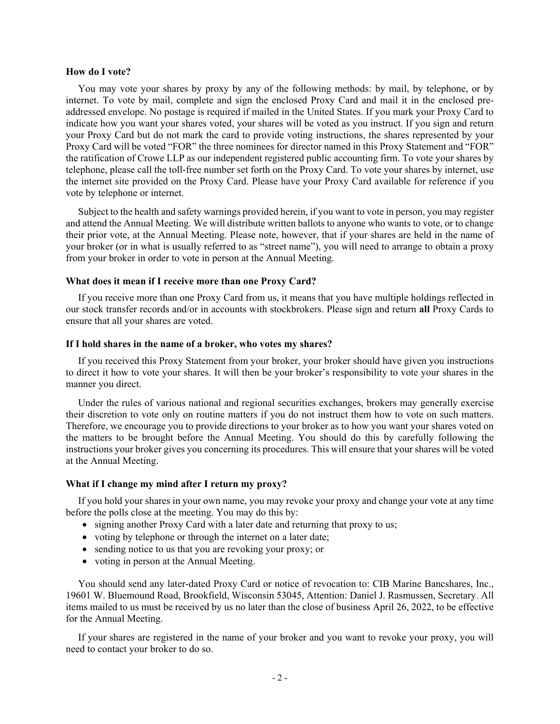#### **How do I vote?**

You may vote your shares by proxy by any of the following methods: by mail, by telephone, or by internet. To vote by mail, complete and sign the enclosed Proxy Card and mail it in the enclosed preaddressed envelope. No postage is required if mailed in the United States. If you mark your Proxy Card to indicate how you want your shares voted, your shares will be voted as you instruct. If you sign and return your Proxy Card but do not mark the card to provide voting instructions, the shares represented by your Proxy Card will be voted "FOR" the three nominees for director named in this Proxy Statement and "FOR" the ratification of Crowe LLP as our independent registered public accounting firm. To vote your shares by telephone, please call the toll-free number set forth on the Proxy Card. To vote your shares by internet, use the internet site provided on the Proxy Card. Please have your Proxy Card available for reference if you vote by telephone or internet.

Subject to the health and safety warnings provided herein, if you want to vote in person, you may register and attend the Annual Meeting. We will distribute written ballots to anyone who wants to vote, or to change their prior vote, at the Annual Meeting. Please note, however, that if your shares are held in the name of your broker (or in what is usually referred to as "street name"), you will need to arrange to obtain a proxy from your broker in order to vote in person at the Annual Meeting.

# **What does it mean if I receive more than one Proxy Card?**

If you receive more than one Proxy Card from us, it means that you have multiple holdings reflected in our stock transfer records and/or in accounts with stockbrokers. Please sign and return **all** Proxy Cards to ensure that all your shares are voted.

### **If I hold shares in the name of a broker, who votes my shares?**

If you received this Proxy Statement from your broker, your broker should have given you instructions to direct it how to vote your shares. It will then be your broker's responsibility to vote your shares in the manner you direct.

Under the rules of various national and regional securities exchanges, brokers may generally exercise their discretion to vote only on routine matters if you do not instruct them how to vote on such matters. Therefore, we encourage you to provide directions to your broker as to how you want your shares voted on the matters to be brought before the Annual Meeting. You should do this by carefully following the instructions your broker gives you concerning its procedures. This will ensure that your shares will be voted at the Annual Meeting.

## **What if I change my mind after I return my proxy?**

If you hold your shares in your own name, you may revoke your proxy and change your vote at any time before the polls close at the meeting. You may do this by:

- signing another Proxy Card with a later date and returning that proxy to us;
- voting by telephone or through the internet on a later date;
- sending notice to us that you are revoking your proxy; or
- voting in person at the Annual Meeting.

You should send any later-dated Proxy Card or notice of revocation to: CIB Marine Bancshares, Inc., 19601 W. Bluemound Road, Brookfield, Wisconsin 53045, Attention: Daniel J. Rasmussen, Secretary. All items mailed to us must be received by us no later than the close of business April 26, 2022, to be effective for the Annual Meeting.

If your shares are registered in the name of your broker and you want to revoke your proxy, you will need to contact your broker to do so.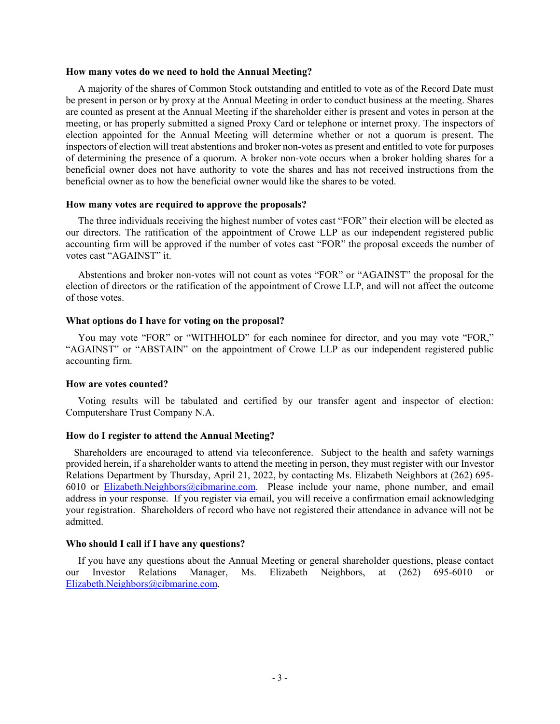#### **How many votes do we need to hold the Annual Meeting?**

A majority of the shares of Common Stock outstanding and entitled to vote as of the Record Date must be present in person or by proxy at the Annual Meeting in order to conduct business at the meeting. Shares are counted as present at the Annual Meeting if the shareholder either is present and votes in person at the meeting, or has properly submitted a signed Proxy Card or telephone or internet proxy. The inspectors of election appointed for the Annual Meeting will determine whether or not a quorum is present. The inspectors of election will treat abstentions and broker non-votes as present and entitled to vote for purposes of determining the presence of a quorum. A broker non-vote occurs when a broker holding shares for a beneficial owner does not have authority to vote the shares and has not received instructions from the beneficial owner as to how the beneficial owner would like the shares to be voted.

#### **How many votes are required to approve the proposals?**

The three individuals receiving the highest number of votes cast "FOR" their election will be elected as our directors. The ratification of the appointment of Crowe LLP as our independent registered public accounting firm will be approved if the number of votes cast "FOR" the proposal exceeds the number of votes cast "AGAINST" it.

Abstentions and broker non-votes will not count as votes "FOR" or "AGAINST" the proposal for the election of directors or the ratification of the appointment of Crowe LLP, and will not affect the outcome of those votes.

### **What options do I have for voting on the proposal?**

You may vote "FOR" or "WITHHOLD" for each nominee for director, and you may vote "FOR," "AGAINST" or "ABSTAIN" on the appointment of Crowe LLP as our independent registered public accounting firm.

#### **How are votes counted?**

Voting results will be tabulated and certified by our transfer agent and inspector of election: Computershare Trust Company N.A.

#### **How do I register to attend the Annual Meeting?**

Shareholders are encouraged to attend via teleconference. Subject to the health and safety warnings provided herein, if a shareholder wants to attend the meeting in person, they must register with our Investor Relations Department by Thursday, April 21, 2022, by contacting Ms. Elizabeth Neighbors at (262) 695- 6010 or Elizabeth.Neighbors@cibmarine.com. Please include your name, phone number, and email address in your response. If you register via email, you will receive a confirmation email acknowledging your registration. Shareholders of record who have not registered their attendance in advance will not be admitted.

## **Who should I call if I have any questions?**

If you have any questions about the Annual Meeting or general shareholder questions, please contact our Investor Relations Manager, Ms. Elizabeth Neighbors, at (262) 695-6010 or Elizabeth.Neighbors@cibmarine.com.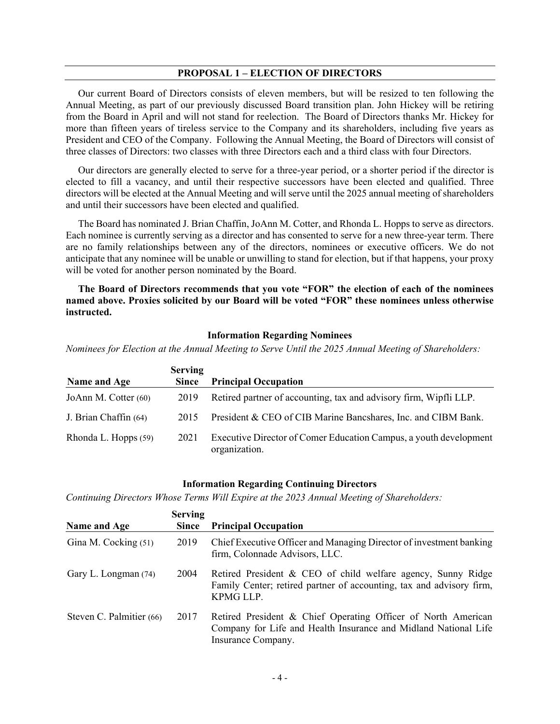## **PROPOSAL 1 – ELECTION OF DIRECTORS**

Our current Board of Directors consists of eleven members, but will be resized to ten following the Annual Meeting, as part of our previously discussed Board transition plan. John Hickey will be retiring from the Board in April and will not stand for reelection. The Board of Directors thanks Mr. Hickey for more than fifteen years of tireless service to the Company and its shareholders, including five years as President and CEO of the Company. Following the Annual Meeting, the Board of Directors will consist of three classes of Directors: two classes with three Directors each and a third class with four Directors.

Our directors are generally elected to serve for a three-year period, or a shorter period if the director is elected to fill a vacancy, and until their respective successors have been elected and qualified. Three directors will be elected at the Annual Meeting and will serve until the 2025 annual meeting of shareholders and until their successors have been elected and qualified.

The Board has nominated J. Brian Chaffin, JoAnn M. Cotter, and Rhonda L. Hopps to serve as directors. Each nominee is currently serving as a director and has consented to serve for a new three-year term. There are no family relationships between any of the directors, nominees or executive officers. We do not anticipate that any nominee will be unable or unwilling to stand for election, but if that happens, your proxy will be voted for another person nominated by the Board.

**The Board of Directors recommends that you vote "FOR" the election of each of the nominees named above. Proxies solicited by our Board will be voted "FOR" these nominees unless otherwise instructed.** 

#### **Information Regarding Nominees**

*Nominees for Election at the Annual Meeting to Serve Until the 2025 Annual Meeting of Shareholders:* 

|                       | <b>Serving</b> |                                                                                    |
|-----------------------|----------------|------------------------------------------------------------------------------------|
| Name and Age          | <b>Since</b>   | <b>Principal Occupation</b>                                                        |
| JoAnn M. Cotter (60)  | 2019           | Retired partner of accounting, tax and advisory firm, Wipfli LLP.                  |
| J. Brian Chaffin (64) | 2015           | President & CEO of CIB Marine Bancshares, Inc. and CIBM Bank.                      |
| Rhonda L. Hopps (59)  | 2021           | Executive Director of Comer Education Campus, a youth development<br>organization. |

#### **Information Regarding Continuing Directors**

*Continuing Directors Whose Terms Will Expire at the 2023 Annual Meeting of Shareholders:* 

|                          | <b>Serving</b> |                                                                                                                                                        |
|--------------------------|----------------|--------------------------------------------------------------------------------------------------------------------------------------------------------|
| Name and Age             | <b>Since</b>   | <b>Principal Occupation</b>                                                                                                                            |
| Gina M. Cocking (51)     | 2019           | Chief Executive Officer and Managing Director of investment banking<br>firm, Colonnade Advisors, LLC.                                                  |
| Gary L. Longman (74)     | 2004           | Retired President & CEO of child welfare agency, Sunny Ridge<br>Family Center; retired partner of accounting, tax and advisory firm,<br>KPMG LLP.      |
| Steven C. Palmitier (66) | 2017           | Retired President & Chief Operating Officer of North American<br>Company for Life and Health Insurance and Midland National Life<br>Insurance Company. |